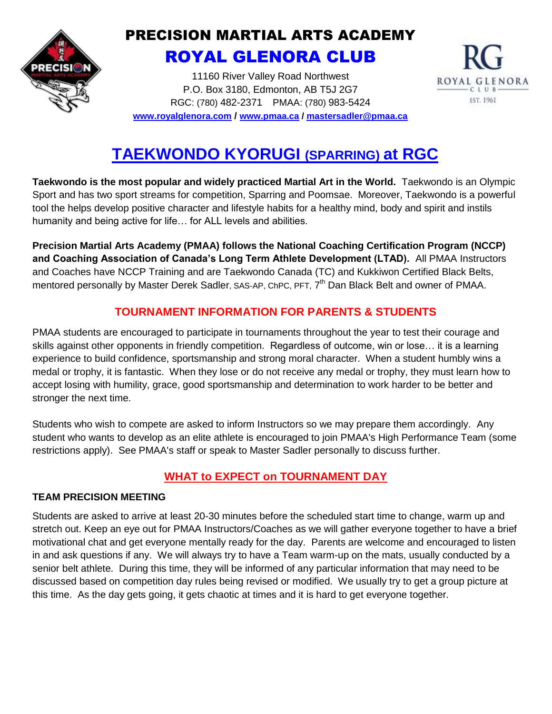

## PRECISION MARTIAL ARTS ACADEMY ROYAL GLENORA CLUB

11160 River Valley Road Northwest P.O. Box 3180, Edmonton, AB T5J 2G7 RGC: (780) 482-2371 PMAA: (780) 983-5424 **[www.royalglenora.com](http://www.royalglenora.com/) / [www.pmaa.ca](http://www.pmaa.ca/) / [mastersadler@pmaa.ca](mailto:mastersadler@pmaa.ca)**



# **TAEKWONDO KYORUGI (SPARRING) at RGC**

**Taekwondo is the most popular and widely practiced Martial Art in the World.** Taekwondo is an Olympic Sport and has two sport streams for competition, Sparring and Poomsae. Moreover, Taekwondo is a powerful tool the helps develop positive character and lifestyle habits for a healthy mind, body and spirit and instils humanity and being active for life… for ALL levels and abilities.

**Precision Martial Arts Academy (PMAA) follows the National Coaching Certification Program (NCCP) and Coaching Association of Canada's Long Term Athlete Development (LTAD).** All PMAA Instructors and Coaches have NCCP Training and are Taekwondo Canada (TC) and Kukkiwon Certified Black Belts, mentored personally by Master Derek Sadler, SAS-AP, ChPC, PFT, 7<sup>th</sup> Dan Black Belt and owner of PMAA.

### **TOURNAMENT INFORMATION FOR PARENTS & STUDENTS**

PMAA students are encouraged to participate in tournaments throughout the year to test their courage and skills against other opponents in friendly competition. Regardless of outcome, win or lose… it is a learning experience to build confidence, sportsmanship and strong moral character. When a student humbly wins a medal or trophy, it is fantastic. When they lose or do not receive any medal or trophy, they must learn how to accept losing with humility, grace, good sportsmanship and determination to work harder to be better and stronger the next time.

Students who wish to compete are asked to inform Instructors so we may prepare them accordingly. Any student who wants to develop as an elite athlete is encouraged to join PMAA's High Performance Team (some restrictions apply). See PMAA's staff or speak to Master Sadler personally to discuss further.

## **WHAT to EXPECT on TOURNAMENT DAY**

#### **TEAM PRECISION MEETING**

Students are asked to arrive at least 20-30 minutes before the scheduled start time to change, warm up and stretch out. Keep an eye out for PMAA Instructors/Coaches as we will gather everyone together to have a brief motivational chat and get everyone mentally ready for the day. Parents are welcome and encouraged to listen in and ask questions if any. We will always try to have a Team warm-up on the mats, usually conducted by a senior belt athlete. During this time, they will be informed of any particular information that may need to be discussed based on competition day rules being revised or modified. We usually try to get a group picture at this time. As the day gets going, it gets chaotic at times and it is hard to get everyone together.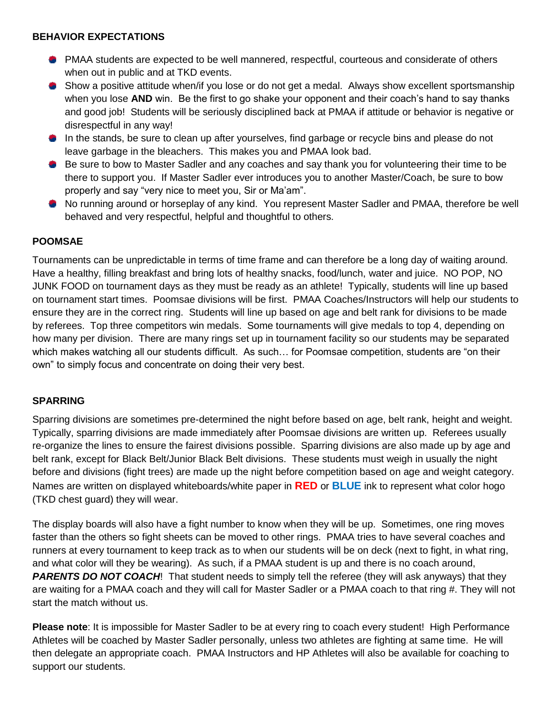#### **BEHAVIOR EXPECTATIONS**

- PMAA students are expected to be well mannered, respectful, courteous and considerate of others when out in public and at TKD events.
- Show a positive attitude when/if you lose or do not get a medal. Always show excellent sportsmanship when you lose **AND** win. Be the first to go shake your opponent and their coach's hand to say thanks and good job! Students will be seriously disciplined back at PMAA if attitude or behavior is negative or disrespectful in any way!
- In the stands, be sure to clean up after yourselves, find garbage or recycle bins and please do not leave garbage in the bleachers. This makes you and PMAA look bad.
- Be sure to bow to Master Sadler and any coaches and say thank you for volunteering their time to be there to support you. If Master Sadler ever introduces you to another Master/Coach, be sure to bow properly and say "very nice to meet you, Sir or Ma'am".
- No running around or horseplay of any kind. You represent Master Sadler and PMAA, therefore be well behaved and very respectful, helpful and thoughtful to others.

#### **POOMSAE**

Tournaments can be unpredictable in terms of time frame and can therefore be a long day of waiting around. Have a healthy, filling breakfast and bring lots of healthy snacks, food/lunch, water and juice. NO POP, NO JUNK FOOD on tournament days as they must be ready as an athlete! Typically, students will line up based on tournament start times. Poomsae divisions will be first. PMAA Coaches/Instructors will help our students to ensure they are in the correct ring. Students will line up based on age and belt rank for divisions to be made by referees. Top three competitors win medals. Some tournaments will give medals to top 4, depending on how many per division. There are many rings set up in tournament facility so our students may be separated which makes watching all our students difficult. As such... for Poomsae competition, students are "on their own" to simply focus and concentrate on doing their very best.

#### **SPARRING**

Sparring divisions are sometimes pre-determined the night before based on age, belt rank, height and weight. Typically, sparring divisions are made immediately after Poomsae divisions are written up. Referees usually re-organize the lines to ensure the fairest divisions possible. Sparring divisions are also made up by age and belt rank, except for Black Belt/Junior Black Belt divisions. These students must weigh in usually the night before and divisions (fight trees) are made up the night before competition based on age and weight category. Names are written on displayed whiteboards/white paper in **RED** or **BLUE** ink to represent what color hogo (TKD chest guard) they will wear.

The display boards will also have a fight number to know when they will be up. Sometimes, one ring moves faster than the others so fight sheets can be moved to other rings. PMAA tries to have several coaches and runners at every tournament to keep track as to when our students will be on deck (next to fight, in what ring, and what color will they be wearing). As such, if a PMAA student is up and there is no coach around, *PARENTS DO NOT COACH*! That student needs to simply tell the referee (they will ask anyways) that they are waiting for a PMAA coach and they will call for Master Sadler or a PMAA coach to that ring #. They will not start the match without us.

**Please note**: It is impossible for Master Sadler to be at every ring to coach every student! High Performance Athletes will be coached by Master Sadler personally, unless two athletes are fighting at same time. He will then delegate an appropriate coach. PMAA Instructors and HP Athletes will also be available for coaching to support our students.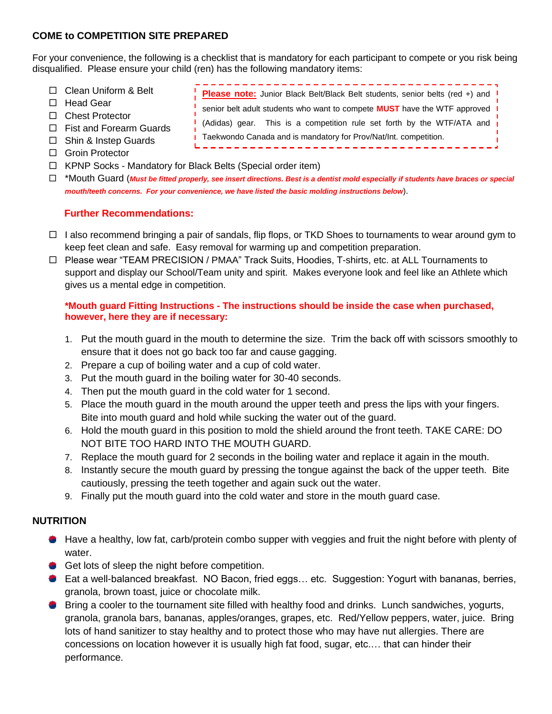#### **COME to COMPETITION SITE PREPARED**

For your convenience, the following is a checklist that is mandatory for each participant to compete or you risk being disqualified. Please ensure your child (ren) has the following mandatory items:

- □ Clean Uniform & Belt
- □ Head Gear
- □ Chest Protector
- □ Fist and Forearm Guards
- □ Shin & Instep Guards
- □ Groin Protector
- □ KPNP Socks Mandatory for Black Belts (Special order item)
- \*Mouth Guard (*Must be fitted properly, see insert directions. Best is a dentist mold especially if students have braces or special mouth/teeth concerns. For your convenience, we have listed the basic molding instructions below*).

#### **Further Recommendations:**

- $\Box$  I also recommend bringing a pair of sandals, flip flops, or TKD Shoes to tournaments to wear around gym to keep feet clean and safe. Easy removal for warming up and competition preparation.
- □ Please wear "TEAM PRECISION / PMAA" Track Suits, Hoodies, T-shirts, etc. at ALL Tournaments to support and display our School/Team unity and spirit. Makes everyone look and feel like an Athlete which gives us a mental edge in competition.

#### **\*Mouth guard Fitting Instructions - The instructions should be inside the case when purchased, however, here they are if necessary:**

- 1. Put the mouth guard in the mouth to determine the size. Trim the back off with scissors smoothly to ensure that it does not go back too far and cause gagging.
- 2. Prepare a cup of boiling water and a cup of cold water.
- 3. Put the mouth guard in the boiling water for 30-40 seconds.
- 4. Then put the mouth guard in the cold water for 1 second.
- 5. Place the mouth guard in the mouth around the upper teeth and press the lips with your fingers. Bite into mouth guard and hold while sucking the water out of the guard.
- 6. Hold the mouth guard in this position to mold the shield around the front teeth. TAKE CARE: DO NOT BITE TOO HARD INTO THE MOUTH GUARD.
- 7. Replace the mouth guard for 2 seconds in the boiling water and replace it again in the mouth.
- 8. Instantly secure the mouth guard by pressing the tongue against the back of the upper teeth. Bite cautiously, pressing the teeth together and again suck out the water.
- 9. Finally put the mouth guard into the cold water and store in the mouth guard case.

#### **NUTRITION**

- **H**ave a healthy, low fat, carb/protein combo supper with veggies and fruit the night before with plenty of water.
- Get lots of sleep the night before competition.
- Eat a well-balanced breakfast. NO Bacon, fried eggs... etc. Suggestion: Yogurt with bananas, berries, granola, brown toast, juice or chocolate milk.
- Bring a cooler to the tournament site filled with healthy food and drinks. Lunch sandwiches, yogurts, **Contract** granola, granola bars, bananas, apples/oranges, grapes, etc. Red/Yellow peppers, water, juice. Bring lots of hand sanitizer to stay healthy and to protect those who may have nut allergies. There are concessions on location however it is usually high fat food, sugar, etc.… that can hinder their performance.

**Please note:** Junior Black Belt/Black Belt students, senior belts (red +) and senior belt adult students who want to compete **MUST** have the WTF approved (Adidas) gear. This is a competition rule set forth by the WTF/ATA and ı. **Taekwondo Canada and is mandatory for Prov/Nat/Int. competition.**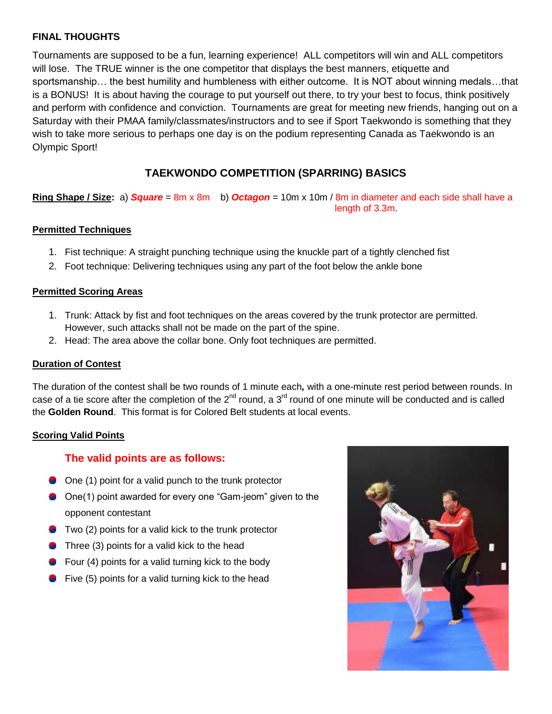#### **FINAL THOUGHTS**

Tournaments are supposed to be a fun, learning experience! ALL competitors will win and ALL competitors will lose. The TRUE winner is the one competitor that displays the best manners, etiquette and sportsmanship… the best humility and humbleness with either outcome. It is NOT about winning medals…that is a BONUS! It is about having the courage to put yourself out there, to try your best to focus, think positively and perform with confidence and conviction. Tournaments are great for meeting new friends, hanging out on a Saturday with their PMAA family/classmates/instructors and to see if Sport Taekwondo is something that they wish to take more serious to perhaps one day is on the podium representing Canada as Taekwondo is an Olympic Sport!

## **TAEKWONDO COMPETITION (SPARRING) BASICS**

**Ring Shape / Size:** a) *Square* = 8m x 8m b) *Octagon* = 10m x 10m / 8m in diameter and each side shall have a length of 3.3m.

#### **Permitted Techniques**

- 1. Fist technique: A straight punching technique using the knuckle part of a tightly clenched fist
- 2. Foot technique: Delivering techniques using any part of the foot below the ankle bone

#### **Permitted Scoring Areas**

- 1. Trunk: Attack by fist and foot techniques on the areas covered by the trunk protector are permitted. However, such attacks shall not be made on the part of the spine.
- 2. Head: The area above the collar bone. Only foot techniques are permitted.

#### **Duration of Contest**

The duration of the contest shall be two rounds of 1 minute each*,* with a one-minute rest period between rounds. In case of a tie score after the completion of the  $2^{nd}$  round, a  $3^{rd}$  round of one minute will be conducted and is called the **Golden Round**. This format is for Colored Belt students at local events.

#### **Scoring Valid Points**

#### **The valid points are as follows:**

- **One (1) point for a valid punch to the trunk protector**
- One(1) point awarded for every one "Gam-jeom" given to the opponent contestant
- **Two (2) points for a valid kick to the trunk protector**
- Three (3) points for a valid kick to the head
- Four (4) points for a valid turning kick to the body
- **Five (5) points for a valid turning kick to the head**

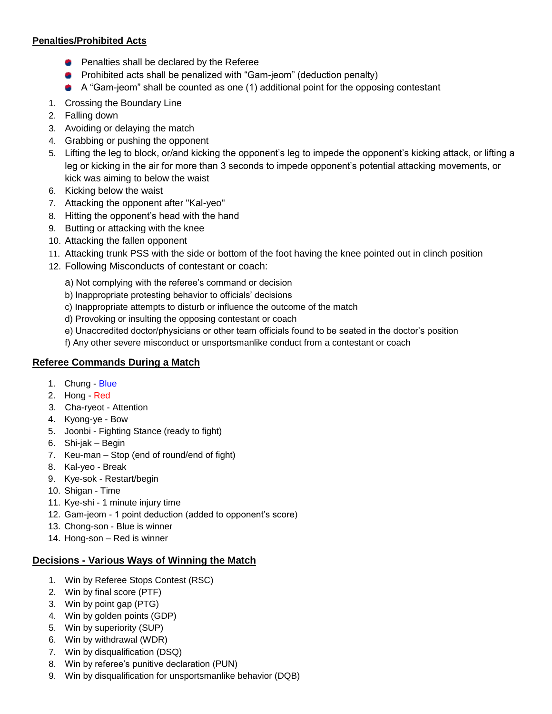#### **Penalties/Prohibited Acts**

- **Penalties shall be declared by the Referee**
- **•** Prohibited acts shall be penalized with "Gam-jeom" (deduction penalty)
- A "Gam-jeom" shall be counted as one (1) additional point for the opposing contestant
- 1. Crossing the Boundary Line
- 2. Falling down
- 3. Avoiding or delaying the match
- 4. Grabbing or pushing the opponent
- 5. Lifting the leg to block, or/and kicking the opponent's leg to impede the opponent's kicking attack, or lifting a leg or kicking in the air for more than 3 seconds to impede opponent's potential attacking movements, or kick was aiming to below the waist
- 6. Kicking below the waist
- 7. Attacking the opponent after "Kal-yeo"
- 8. Hitting the opponent's head with the hand
- 9. Butting or attacking with the knee
- 10. Attacking the fallen opponent
- 11. Attacking trunk PSS with the side or bottom of the foot having the knee pointed out in clinch position
- 12. Following Misconducts of contestant or coach:
	- a) Not complying with the referee's command or decision
	- b) Inappropriate protesting behavior to officials' decisions
	- c) Inappropriate attempts to disturb or influence the outcome of the match
	- d) Provoking or insulting the opposing contestant or coach
	- e) Unaccredited doctor/physicians or other team officials found to be seated in the doctor's position
	- f) Any other severe misconduct or unsportsmanlike conduct from a contestant or coach

#### **Referee Commands During a Match**

- 1. Chung Blue
- 2. Hong Red
- 3. Cha-ryeot Attention
- 4. Kyong-ye Bow
- 5. Joonbi Fighting Stance (ready to fight)
- 6. Shi-jak Begin
- 7. Keu-man Stop (end of round/end of fight)
- 8. Kal-yeo Break
- 9. Kye-sok Restart/begin
- 10. Shigan Time
- 11. Kye-shi 1 minute injury time
- 12. Gam-jeom 1 point deduction (added to opponent's score)
- 13. Chong-son Blue is winner
- 14. Hong-son Red is winner

#### **Decisions - Various Ways of Winning the Match**

- 1. Win by Referee Stops Contest (RSC)
- 2. Win by final score (PTF)
- 3. Win by point gap (PTG)
- 4. Win by golden points (GDP)
- 5. Win by superiority (SUP)
- 6. Win by withdrawal (WDR)
- 7. Win by disqualification (DSQ)
- 8. Win by referee's punitive declaration (PUN)
- 9. Win by disqualification for unsportsmanlike behavior (DQB)